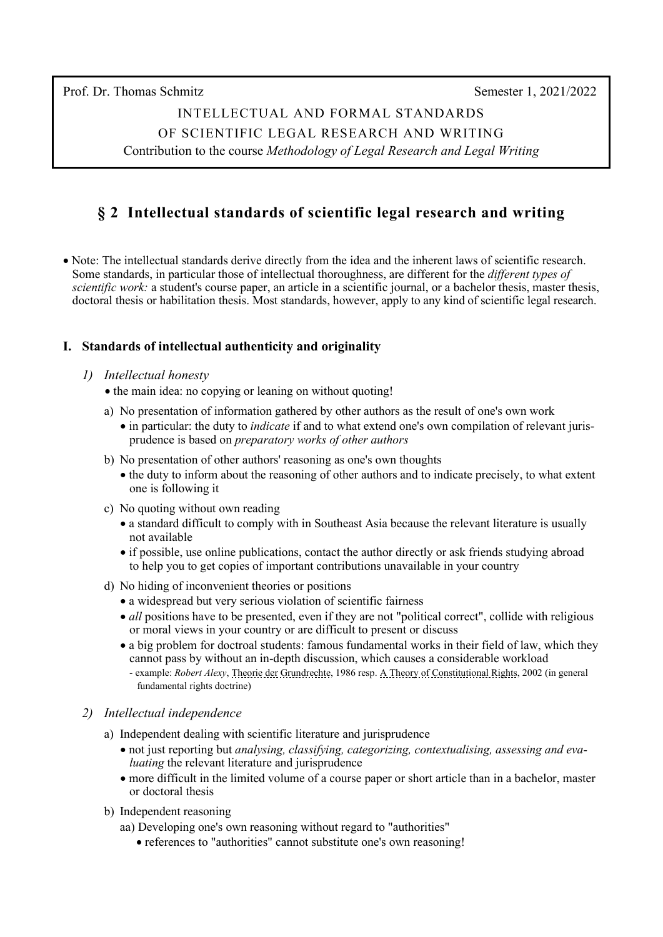Prof. Dr. Thomas Schmitz Semester 1, 2021/2022

INTELLECTUAL AND FORMAL STANDARDS OF SCIENTIFIC LEGAL RESEARCH AND WRITING Contribution to the course *Methodology of Legal Research and Legal Writing*

# **§ 2 Intellectual standards of scientific legal research and writing**

• Note: The intellectual standards derive directly from the idea and the inherent laws of scientific research. Some standards, in particular those of intellectual thoroughness, are different for the *different types of scientific work:* a student's course paper, an article in a scientific journal, or a bachelor thesis, master thesis, doctoral thesis or habilitation thesis. Most standards, however, apply to any kind of scientific legal research.

## **I. Standards of intellectual authenticity and originality**

#### *1) Intellectual honesty*

- the main idea: no copying or leaning on without quoting!
- a) No presentation of information gathered by other authors as the result of one's own work
	- in particular: the duty to *indicate* if and to what extend one's own compilation of relevant juris prudence is based on *preparatory works of other authors*
- b) No presentation of other authors' reasoning as one's own thoughts
	- the duty to inform about the reasoning of other authors and to indicate precisely, to what extent one is following it
- c) No quoting without own reading
	- a standard difficult to comply with in Southeast Asia because the relevant literature is usually not available
	- if possible, use online publications, contact the author directly or ask friends studying abroad to help you to get copies of important contributions unavailable in your country
- d) No hiding of inconvenient theories or positions
	- a widespread but very serious violation of scientific fairness
	- *all* positions have to be presented, even if they are not "political correct", collide with religious or moral views in your country or are difficult to present or discuss
	- a big problem for doctroal students: famous fundamental works in their field of law, which they cannot pass by without an in-depth discussion, which causes a considerable workload
		- example: *Robert Alexy*, [Theorie der Grundrechte,](https://www.amazon.de/Theorie-Grundrechte-suhrkamp-taschenbuch-wissenschaft/dp/3518281828/ref=sr_1_1?__mk_de_DE=%C3%85M%C3%85%C5%BD%C3%95%C3%91&dchild=1&keywords=Alexy+Theorie+der+Grundrechte&qid=1633421604&sr=8-1) 1986 resp. [A Theory of Constitutional Rights,](https://www.amazon.com/-/de/dp-0199584230/dp/0199584230/ref=mt_other?_encoding=UTF8&me=&qid=1633421359) 2002 (in general fundamental rights doctrine)

#### *2) Intellectual independence*

- a) Independent dealing with scientific literature and jurisprudence
	- not just reporting but *analysing, classifying, categorizing, contextualising, assessing and eva luating* the relevant literature and jurisprudence
	- more difficult in the limited volume of a course paper or short article than in a bachelor, master or doctoral thesis
- b) Independent reasoning
	- aa) Developing one's own reasoning without regard to "authorities"
		- references to "authorities" cannot substitute one's own reasoning!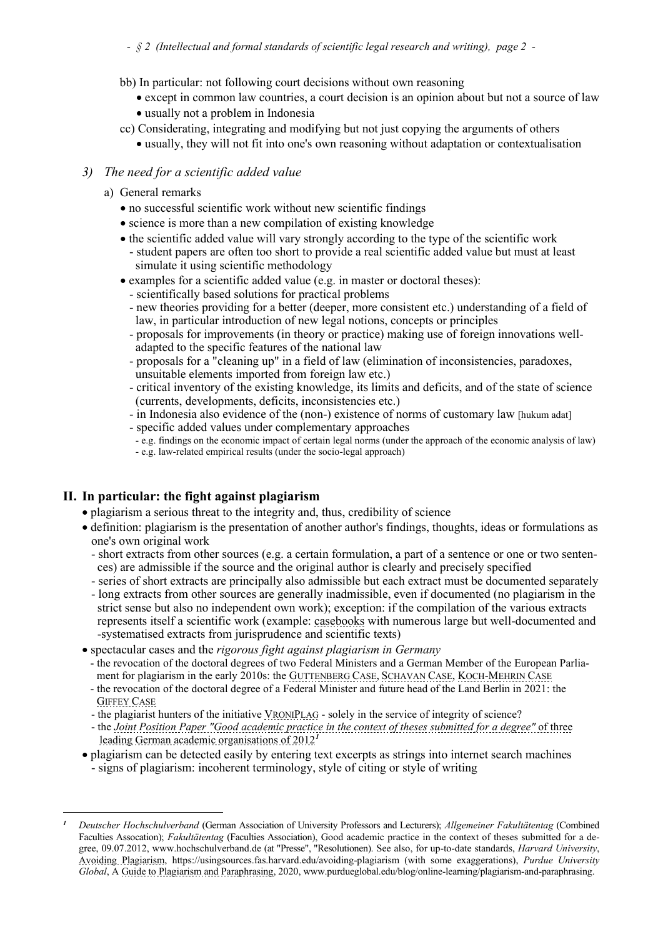- bb) In particular: not following court decisions without own reasoning
	- except in common law countries, a court decision is an opinion about but not a source of law
	- usually not a problem in Indonesia
- cc) Considerating, integrating and modifying but not just copying the arguments of others
	- usually, they will not fit into one's own reasoning without adaptation or contextualisation

# *3) The need for a scientific added value*

- a) General remarks
	- no successful scientific work without new scientific findings
	- science is more than a new compilation of existing knowledge
	- the scientific added value will vary strongly according to the type of the scientific work
		- student papers are often too short to provide a real scientific added value but must at least simulate it using scientific methodology
	- examples for a scientific added value (e.g. in master or doctoral theses):
		- scientifically based solutions for practical problems
		- new theories providing for a better (deeper, more consistent etc.) understanding of a field of law, in particular introduction of new legal notions, concepts or principles
		- proposals for improvements (in theory or practice) making use of foreign innovations well adapted to the specific features of the national law
		- proposals for a "cleaning up" in a field of law (elimination of inconsistencies, paradoxes, unsuitable elements imported from foreign law etc.)
		- critical inventory of the existing knowledge, its limits and deficits, and of the state of science (currents, developments, deficits, inconsistencies etc.)
		- in Indonesia also evidence of the (non-) existence of norms of customary law [hukum adat]
		-
		- e.g. findings on the economic impact of certain legal norms (under the approach of the economic analysis of law)
		- e.g. law-related empirical results (under the socio-legal approach)

# **II. In particular: the fight against plagiarism**

- plagiarism a serious threat to the integrity and, thus, credibility of science
- definition: plagiarism is the presentation of another author's findings, thoughts, ideas or formulations as one's own original work
	- short extracts from other sources (e.g. a certain formulation, a part of a sentence or one or two senten ces) are admissible if the source and the original author is clearly and precisely specified
	- series of short extracts are principally also admissible but each extract must be documented separately
	- long extracts from other sources are generally inadmissible, even if documented (no plagiarism in the strict sense but also no independent own work); exception: if the compilation of the various extracts represents itself a scientific work (example: [casebooks](http://www.kas.de/wf/doc/26197-1442-1-30.pdf) with numerous large but well-documented and -systematised extracts from jurisprudence and scientific texts)
- spectacular cases and the *rigorous fight against plagiarism in Germany*
	- th[e revocation of the doctoral degrees](http://news.sciencemag.org/scienceinsider/2013/02/breaking-news-german-research-mi.html) of [two Federal Ministers](http://www.guardian.co.uk/world/2011/feb/24/german-defence-minister-guttenberg-plagiarism) and a [German Member of the European Parlia](http://www.universityworldnews.com/article.php?story=20110630144123879)  [ment](http://www.universityworldnews.com/article.php?story=20110630144123879) for plagiarism in the early 2010s: th[e GUTTENBERG CASE,](https://en.wikipedia.org/wiki/Guttenberg_plagiarism_scandal) [SCHAVAN CASE,](https://www.dw.com/en/plagiarism-charges-cost-german-minister-phd/a-16544422) [KOCH-MEHRIN CASE](https://www.dw.com/en/university-of-heidelberg-finds-koch-mehrin-guilty-of-plagiarism/a-15156485)
	- the revocation of the doctoral degree of a Federal Minister and future head of the Land Berlin in 2021: the [GIFFEY CASE](https://www.dw.com/en/german-politician-franziska-giffey-stripped-of-doctorate/a-57843190)
	- the plagiarist hunters of the initiative [VRONIPLAG](https://www.vroniplag.de/) solely in the service of integrity of science?
	- the *[Joint Position Paper "Good academic practice in the context of theses submitted for a degree"](https://www.hochschulverband.de/fileadmin/redaktion/download/pdf/resolutionen/Good%20academic%20practice%20in%20the%20context%20of%20theses%20submitted%20for%20a%20degree.pdf)* of three  [leading German academic organisations of 2012](https://www.hochschulverband.de/fileadmin/redaktion/download/pdf/resolutionen/Good%20academic%20practice%20in%20the%20context%20of%20theses%20submitted%20for%20a%20degree.pdf)*[1](#page-1-0)*
- plagiarism can be detected easily by entering text excerpts as strings into internet search machines - signs of plagiarism: incoherent terminology, style of citing or style of writing

<span id="page-1-0"></span>*<sup>1</sup> Deutscher Hochschulverband* (German Association of University Professors and Lecturers); *Allgemeiner Fakultätentag* (Combined Faculties Assocation); *Fakultätentag* (Faculties Association), Good academic practice in the context of theses submitted for a degree, 09.07.2012, [www.hochschulverband.de](https://www.hochschulverband.de/fileadmin/redaktion/download/pdf/resolutionen/Good%20academic%20practice%20in%20the%20context%20of%20theses%20submitted%20for%20a%20degree.pdf) (at "Presse", "Resolutionen). See also, for up-to-date standards, *Harvard University*, [Avoiding Plagiarism,](https://usingsources.fas.harvard.edu/avoiding-plagiarism) <https://usingsources.fas.harvard.edu/avoiding-plagiarism> (with some exaggerations), *Purdue University Global*, A [Guide to Plagiarism and Paraphrasing,](https://www.purdueglobal.edu/blog/online-learning/plagiarism-and-paraphrasing) 2020[, www.purdueglobal.edu/blog/online-learning/plagiarism-and-paraphrasing.](https://www.purdueglobal.edu/blog/online-learning/plagiarism-and-paraphrasing)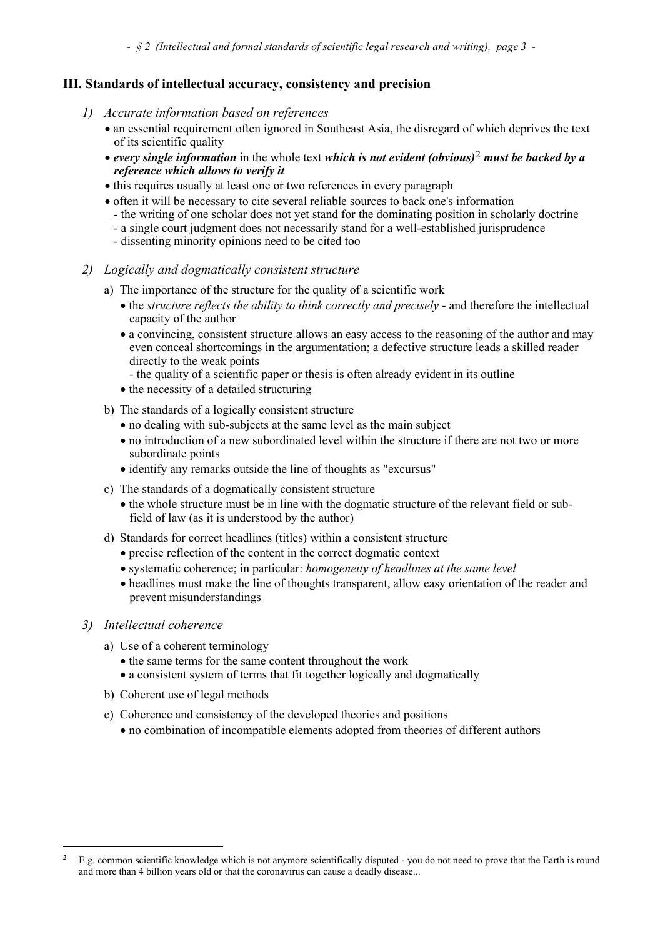*- § 2 (Intellectual and formal standards of scientific legal research and writing), page 3 -*

#### **III. Standards of intellectual accuracy, consistency and precision**

- *1) Accurate information based on references*
	- an essential requirement often ignored in Southeast Asia, the disregard of which deprives the text of its scientific quality
	- *every single information* in the whole text *which is not evident (obvious)*[2](#page-2-0) *must be backed by a reference which allows to verify it*
	- this requires usually at least one or two references in every paragraph
	- often it will be necessary to cite several reliable sources to back one's information
		- the writing of one scholar does not yet stand for the dominating position in scholarly doctrine
		- a single court judgment does not necessarily stand for a well-established jurisprudence
		- dissenting minority opinions need to be cited too
- *2) Logically and dogmatically consistent structure*
	- a) The importance of the structure for the quality of a scientific work
		- the *structure reflects the ability to think correctly and precisely* and therefore the intellectual capacity of the author
		- a convincing, consistent structure allows an easy access to the reasoning of the author and may even conceal shortcomings in the argumentation; a defective structure leads a skilled reader directly to the weak points
			- the quality of a scientific paper or thesis is often already evident in its outline
		- the necessity of a detailed structuring
	- b) The standards of a logically consistent structure
		- no dealing with sub-subjects at the same level as the main subject
		- no introduction of a new subordinated level within the structure if there are not two or more subordinate points
		- identify any remarks outside the line of thoughts as "excursus"
	- c) The standards of a dogmatically consistent structure
		- the whole structure must be in line with the dogmatic structure of the relevant field or sub field of law (as it is understood by the author)
	- d) Standards for correct headlines (titles) within a consistent structure
		- precise reflection of the content in the correct dogmatic context
		- systematic coherence; in particular: *homogeneity of headlines at the same level*
		- headlines must make the line of thoughts transparent, allow easy orientation of the reader and prevent misunderstandings

#### *3) Intellectual coherence*

- a) Use of a coherent terminology
	- the same terms for the same content throughout the work
	- a consistent system of terms that fit together logically and dogmatically
- b) Coherent use of legal methods
- c) Coherence and consistency of the developed theories and positions
	- no combination of incompatible elements adopted from theories of different authors

<span id="page-2-0"></span>*<sup>2</sup>* E.g. common scientific knowledge which is not anymore scientifically disputed - you do not need to prove that the Earth is round and more than 4 billion years old or that the coronavirus can cause a deadly disease...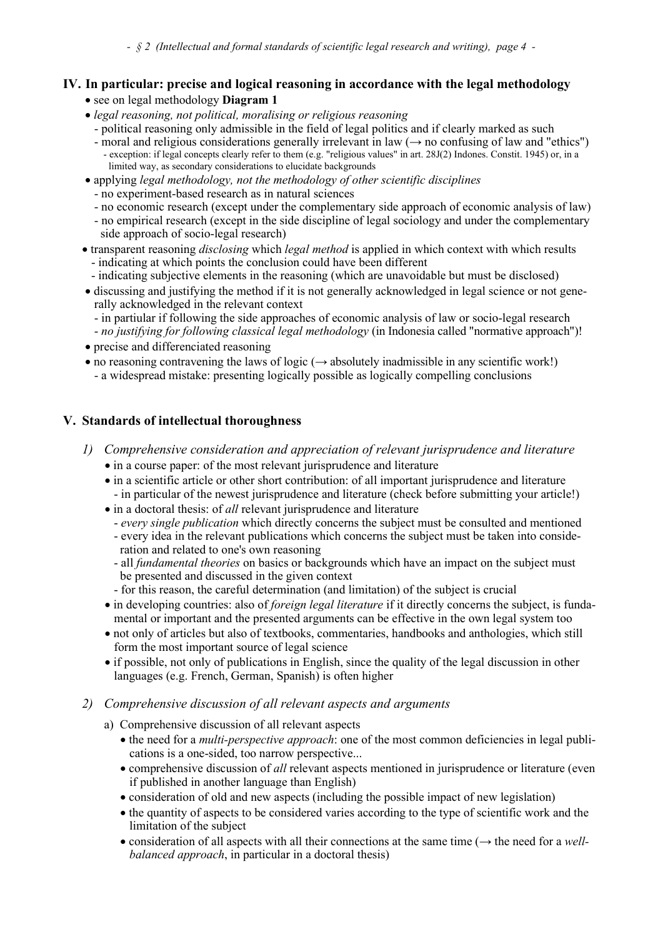# **IV. In particular: precise and logical reasoning in accordance with the legal methodology**

- see on legal methodology **Diagram 1**
- *legal reasoning, not political, moralising or religious reasoning*
	- political reasoning only admissible in the field of legal politics and if clearly marked as such<br>- moral and religious considerations generally irrelevant in law  $(\rightarrow$  no confusing of law and "ethics")
	- exception: if legal concepts clearly refer to them (e.g. "religious values" in art. 28J(2) Indones. Constit. 1945) or, in a limited way, as secondary considerations to elucidate backgrounds
- applying *legal methodology, not the methodology of other scientific disciplines*
	- no experiment-based research as in natural sciences
	- no economic research (except under the complementary side approach of economic analysis of law)
	- no empirical research (except in the side discipline of legal sociology and under the complementary side approach of socio-legal research)
- transparent reasoning *disclosing* which *legal method* is applied in which context with which results - indicating at which points the conclusion could have been different
	- indicating subjective elements in the reasoning (which are unavoidable but must be disclosed)
- discussing and justifying the method if it is not generally acknowledged in legal science or not gene rally acknowledged in the relevant context
	- in partiular if following the side approaches of economic analysis of law or socio-legal research
- *no justifying for following classical legal methodology* (in Indonesia called "normative approach")! • precise and differenciated reasoning
- no reasoning contravening the laws of logic  $(\rightarrow$  absolutely inadmissible in any scientific work!)
	- a widespread mistake: presenting logically possible as logically compelling conclusions

## **V. Standards of intellectual thoroughness**

- *1) Comprehensive consideration and appreciation of relevant jurisprudence and literature* • in a course paper: of the most relevant jurisprudence and literature
	- in a scientific article or other short contribution: of all important jurisprudence and literature - in particular of the newest jurisprudence and literature (check before submitting your article!)
	- in a doctoral thesis: of *all* relevant jurisprudence and literature
		- *every single publication* which directly concerns the subject must be consulted and mentioned
		- every idea in the relevant publications which concerns the subject must be taken into conside ration and related to one's own reasoning
		- all *fundamental theories* on basics or backgrounds which have an impact on the subject must be presented and discussed in the given context
		- for this reason, the careful determination (and limitation) of the subject is crucial
	- in developing countries: also of *foreign legal literature* if it directly concerns the subject, is funda mental or important and the presented arguments can be effective in the own legal system too
	- not only of articles but also of textbooks, commentaries, handbooks and anthologies, which still form the most important source of legal science
	- if possible, not only of publications in English, since the quality of the legal discussion in other languages (e.g. French, German, Spanish) is often higher
- *2) Comprehensive discussion of all relevant aspects and arguments*
	- a) Comprehensive discussion of all relevant aspects
		- the need for a *multi-perspective approach*: one of the most common deficiencies in legal publi cations is a one-sided, too narrow perspective...
		- comprehensive discussion of *all* relevant aspects mentioned in jurisprudence or literature (even if published in another language than English)
		- consideration of old and new aspects (including the possible impact of new legislation)
		- the quantity of aspects to be considered varies according to the type of scientific work and the limitation of the subject
		- consideration of all aspects with all their connections at the same time (→ the need for a *well balanced approach*, in particular in a doctoral thesis)